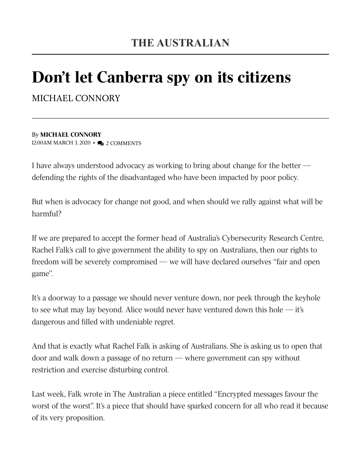## Don't let Canberra spy on its citizens

MICHAEL CONNORY

## By MICHAEL CONNORY 12:00AM MARCH 3, 2020 • 2 COMMENTS

I have always understood advocacy as working to bring about change for the better defending the rights of the disadvantaged who have been impacted by poor policy.

But when is advocacy for change not good, and when should we rally against what will be harmful?

If we are prepared to accept the former head of Australia's Cybersecurity Research Centre, Rachel Falk's call to give government the ability to spy on Australians, then our rights to freedom will be severely compromised — we will have declared ourselves ''fair and open game''.

It's a doorway to a passage we should never venture down, nor peek through the keyhole to see what may lay beyond. Alice would never have ventured down this hole  $-$  it's dangerous and filled with undeniable regret.

And that is exactly what Rachel Falk is asking of Australians. She is asking us to open that door and walk down a passage of no return — where government can spy without restriction and exercise disturbing control.

Last week, Falk wrote in The Australian a piece entitled ''Encrypted messages favour the worst of the worst". It's a piece that should have sparked concern for all who read it because of its very proposition.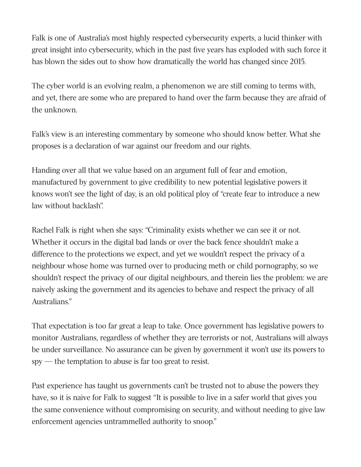Falk is one of Australia's most highly respected cybersecurity experts, a lucid thinker with great insight into cybersecurity, which in the past five years has exploded with such force it has blown the sides out to show how dramatically the world has changed since 2015.

The cyber world is an evolving realm, a phenomenon we are still coming to terms with, and yet, there are some who are prepared to hand over the farm because they are afraid of the unknown.

Falk's view is an interesting commentary by someone who should know better. What she proposes is a declaration of war against our freedom and our rights.

Handing over all that we value based on an argument full of fear and emotion, manufactured by government to give credibility to new potential legislative powers it knows won't see the light of day, is an old political ploy of "create fear to introduce a new law without backlash".

Rachel Falk is right when she says: "Criminality exists whether we can see it or not. Whether it occurs in the digital bad lands or over the back fence shouldn't make a difference to the protections we expect, and yet we wouldn't respect the privacy of a neighbour whose home was turned over to producing meth or child pornography, so we shouldn't respect the privacy of our digital neighbours, and therein lies the problem: we are naively asking the government and its agencies to behave and respect the privacy of all Australians."

That expectation is too far great a leap to take. Once government has legislative powers to monitor Australians, regardless of whether they are terrorists or not, Australians will always be under surveillance. No assurance can be given by government it won't use its powers to spy — the temptation to abuse is far too great to resist.

Past experience has taught us governments can't be trusted not to abuse the powers they have, so it is naive for Falk to suggest "It is possible to live in a safer world that gives you the same convenience without compromising on security, and without needing to give law enforcement agencies untrammelled authority to snoop."